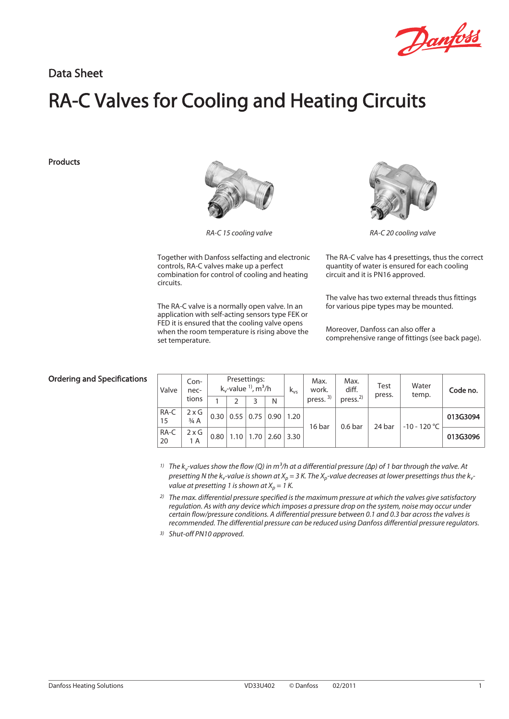

# Data Sheet

# RA-C Valves for Cooling and Heating Circuits

**Products** 



Together with Danfoss selfacting and electronic controls, RA-C valves make up a perfect combination for control of cooling and heating circuits.

The RA-C valve is a normally open valve. In an application with self-acting sensors type FEK or FED it is ensured that the cooling valve opens when the room temperature is rising above the set temperature.



*RA-C 15 cooling valve RA-C 20 cooling valve*

The RA-C valve has 4 presettings, thus the correct quantity of water is ensured for each cooling circuit and it is PN16 approved.

The valve has two external threads thus fittings for various pipe types may be mounted.

Moreover, Danfoss can also offer a comprehensive range of fittings (see back page).

# Ordering and Specifications

| Valve        | Con-<br>nec-<br>tions   | Presettings:<br>$k_v$ -value <sup>1)</sup> , m <sup>3</sup> /h |               |                                  | $k_{vs}$         | Max.<br>work. | Max.<br>diff. | Test<br>press.     | Water<br>temp. | Code no.       |          |
|--------------|-------------------------|----------------------------------------------------------------|---------------|----------------------------------|------------------|---------------|---------------|--------------------|----------------|----------------|----------|
|              |                         |                                                                |               | 3                                | N                |               | press. $3)$   | pres. <sup>2</sup> |                |                |          |
| $RA-C$<br>15 | $2 \times G$<br>$3/4$ A |                                                                |               | 0.30   0.55   0.75   0.90   1.20 |                  |               | 16 bar        | 0.6 <sub>bar</sub> | 24 bar         | $-10 - 120 °C$ | 013G3094 |
| RA-C<br>20   | $2 \times G$<br>1 A     |                                                                | $0.80$   1.10 |                                  | $1.70$ 2.60 3.30 |               |               |                    |                |                | 013G3096 |

*1) The k<sup>v</sup> -values show the flow (Q) in m³/h at a differential pressure (∆p) of 1 bar through the valve. At* presetting N the k<sub>v</sub>-value is shown at X<sub>p</sub> = 3 K. The X<sub>p</sub>-value decreases at lower presettings thus the k<sub>v</sub>*value at presetting 1 is shown at*  $X_p = 1$  *K.* 

*2) The max. differential pressure specified is the maximum pressure at which the valves give satisfactory regulation. As with any device which imposes a pressure drop on the system, noise may occur under certain flow/pressure conditions. A differential pressure between 0.1 and 0.3 bar across the valves is recommended. The differential pressure can be reduced using Danfoss differential pressure regulators.*

*3) Shut-off PN10 approved.*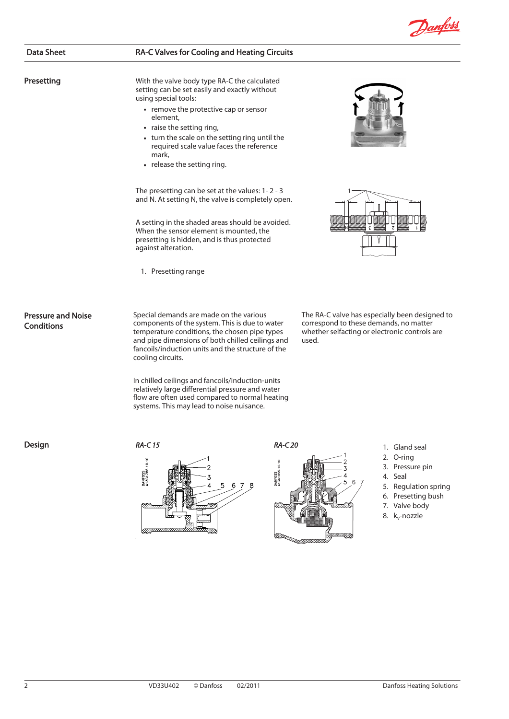| <b>Data Sheet</b>                              | RA-C Valves for Cooling and Heating Circuits                                                                                                                                                                                                                                                                                                  |                                                 |                                                                                                 |                                                                                                                                                      |
|------------------------------------------------|-----------------------------------------------------------------------------------------------------------------------------------------------------------------------------------------------------------------------------------------------------------------------------------------------------------------------------------------------|-------------------------------------------------|-------------------------------------------------------------------------------------------------|------------------------------------------------------------------------------------------------------------------------------------------------------|
| Presetting                                     | With the valve body type RA-C the calculated<br>setting can be set easily and exactly without<br>using special tools:<br>• remove the protective cap or sensor<br>element,<br>• raise the setting ring,<br>- turn the scale on the setting ring until the<br>required scale value faces the reference<br>mark,<br>- release the setting ring. |                                                 |                                                                                                 |                                                                                                                                                      |
|                                                | The presetting can be set at the values: $1 - 2 - 3$<br>and N. At setting N, the valve is completely open.<br>A setting in the shaded areas should be avoided.<br>When the sensor element is mounted, the<br>presetting is hidden, and is thus protected<br>against alteration.                                                               |                                                 |                                                                                                 |                                                                                                                                                      |
|                                                | 1. Presetting range                                                                                                                                                                                                                                                                                                                           |                                                 |                                                                                                 |                                                                                                                                                      |
| <b>Pressure and Noise</b><br><b>Conditions</b> | Special demands are made on the various<br>components of the system. This is due to water<br>temperature conditions, the chosen pipe types<br>and pipe dimensions of both chilled ceilings and<br>fancoils/induction units and the structure of the<br>cooling circuits.                                                                      | correspond to these demands, no matter<br>used. | The RA-C valve has especially been designed to<br>whether selfacting or electronic controls are |                                                                                                                                                      |
|                                                | In chilled ceilings and fancoils/induction-units<br>relatively large differential pressure and water<br>flow are often used compared to normal heating<br>systems. This may lead to noise nuisance.                                                                                                                                           |                                                 |                                                                                                 |                                                                                                                                                      |
| Design                                         | <b>RA-C15</b><br>DANFOSS<br>A13G1786.10.10<br>6 7<br>5<br>8                                                                                                                                                                                                                                                                                   | <b>RA-C20</b><br>DANFOSS<br>A1301855.10.10      | 5 6 7                                                                                           | 1. Gland seal<br>2. O-ring<br>3. Pressure pin<br>4. Seal<br>5. Regulation spring<br>6. Presetting bush<br>7. Valve body<br>8. k <sub>v</sub> -nozzle |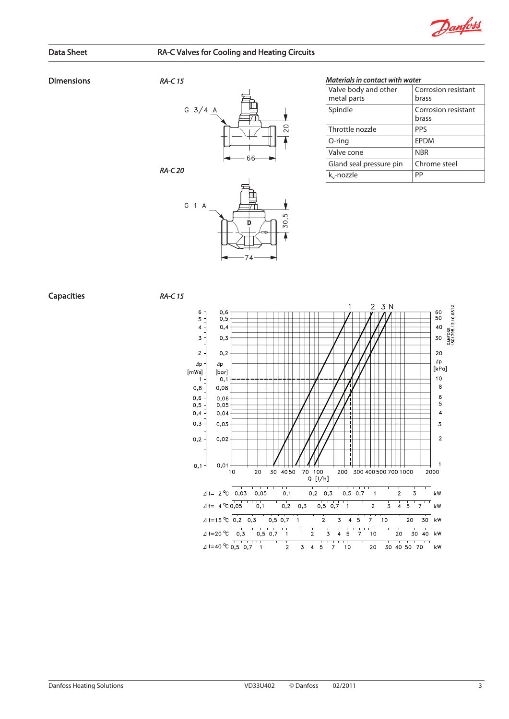

# Data Sheet RA-C Valves for Cooling and Heating Circuits

# Dimensions *RA-C 15*





# *Materials in contact with water*

| Valve body and other<br>metal parts | Corrosion resistant<br>brass |
|-------------------------------------|------------------------------|
| Spindle                             | Corrosion resistant<br>brass |
| Throttle nozzle                     | <b>PPS</b>                   |
| O-ring                              | <b>EPDM</b>                  |
| Valve cone                          | <b>NBR</b>                   |
| Gland seal pressure pin             | Chrome steel                 |
| k <sub>v</sub> -nozzle              | PP                           |



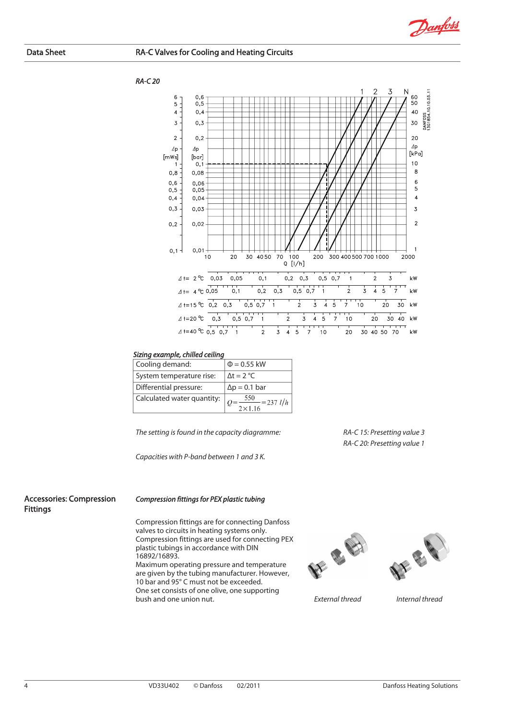

#### *RA-C 20*



#### *Sizing example, chilled ceiling*

| Cooling demand:            | $\Phi = 0.55$ kW                        |
|----------------------------|-----------------------------------------|
| System temperature rise:   | $\Delta t = 2 \degree C$                |
| Differential pressure:     | $\Delta p = 0.1$ bar                    |
| Calculated water quantity: | 550<br>$= 237$ $1/h$<br>$2 \times 1$ 16 |

*The setting is found in the capacity diagramme: RA-C 15: Presetting value 3*

*RA-C 20: Presetting value 1*

*Capacities with P-band between 1 and 3 K.*

# Accessories: Compression Fittings

# *Compression fittings for PEX plastic tubing*

Compression fittings are for connecting Danfoss valves to circuits in heating systems only. Compression fittings are used for connecting PEX plastic tubings in accordance with DIN 16892/16893.

Maximum operating pressure and temperature are given by the tubing manufacturer. However, 10 bar and 95° C must not be exceeded. One set consists of one olive, one supporting bush and one union nut. *External thread Internal thread*



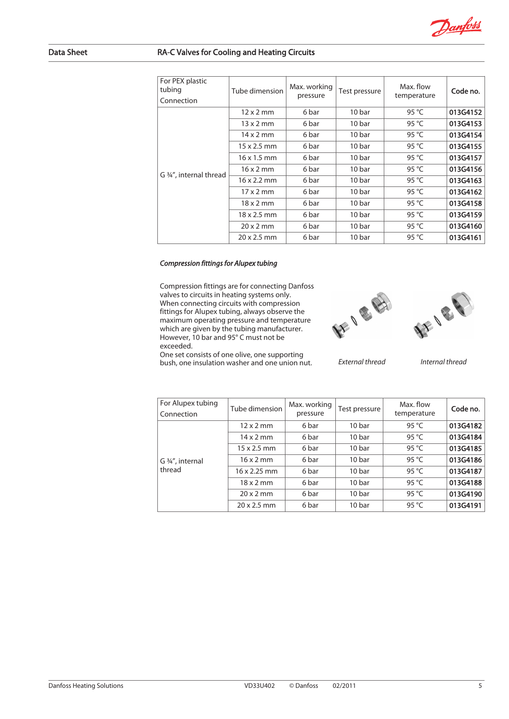# Data Sheet RA-C Valves for Cooling and Heating Circuits

| For PEX plastic<br>tubing<br>Connection | Tube dimension     | Max. working<br>pressure | Test pressure | Max. flow<br>temperature | Code no. |
|-----------------------------------------|--------------------|--------------------------|---------------|--------------------------|----------|
|                                         | $12 \times 2$ mm   | 6 bar                    | 10 bar        | 95 °C                    | 013G4152 |
|                                         | $13 \times 2$ mm   | 6 bar                    | 10 bar        | 95 °C                    | 013G4153 |
|                                         | $14 \times 2$ mm   | 6 bar                    | 10 bar        | 95 °C                    | 013G4154 |
|                                         | $15 \times 2.5$ mm | 6 bar                    | 10 bar        | 95 °C                    | 013G4155 |
|                                         | $16 \times 1.5$ mm | 6 bar                    | 10 bar        | 95 °C                    | 013G4157 |
| G 34", internal thread                  | $16 \times 2$ mm   | 6 bar                    | 10 bar        | 95 °C                    | 013G4156 |
|                                         | $16 \times 2.2$ mm | 6 bar                    | 10 bar        | 95 °C                    | 013G4163 |
|                                         | 17x2mm             | 6 bar                    | 10 bar        | 95 $°C$                  | 013G4162 |
|                                         | $18 \times 2$ mm   | 6 bar                    | 10 bar        | 95 °C                    | 013G4158 |
|                                         | $18 \times 2.5$ mm | 6 bar                    | 10 bar        | 95 °C                    | 013G4159 |
|                                         | $20 \times 2$ mm   | 6 bar                    | 10 bar        | 95 °C                    | 013G4160 |
|                                         | 20 x 2.5 mm        | 6 bar                    | 10 bar        | 95 °C                    | 013G4161 |

### *Compression fittings for Alupex tubing*

Compression fittings are for connecting Danfoss valves to circuits in heating systems only. When connecting circuits with compression fittings for Alupex tubing, always observe the maximum operating pressure and temperature which are given by the tubing manufacturer. However, 10 bar and 95° C must not be exceeded.



One set consists of one olive, one supporting bush, one insulation washer and one union nut. *External thread Internal thread*

Danfoss

| For Alupex tubing<br>Connection | Tube dimension     | Max. working<br>pressure | Test pressure | Max. flow<br>temperature | Code no. |
|---------------------------------|--------------------|--------------------------|---------------|--------------------------|----------|
|                                 | $12 \times 2$ mm   | 6 bar                    | 10 bar        | 95 $°C$                  | 013G4182 |
|                                 | $14 \times 2$ mm   | 6 bar                    | 10 bar        | 95 $°C$                  | 013G4184 |
|                                 | $15 \times 2.5$ mm | 6 bar                    | 10 bar        | 95 $°C$                  | 013G4185 |
| $G \frac{3}{4}$ , internal      | $16 \times 2$ mm   | 6 bar                    | 10 bar        | 95 $°C$                  | 013G4186 |
| thread                          | 16 x 2.25 mm       | 6 bar                    | 10 bar        | 95 $°C$                  | 013G4187 |
|                                 | $18 \times 2$ mm   | 6 bar                    | 10 bar        | 95 $°C$                  | 013G4188 |
|                                 | $20 \times 2$ mm   | 6 bar                    | 10 bar        | 95 $°C$                  | 013G4190 |
|                                 | $20 \times 2.5$ mm | 6 bar                    | 10 bar        | 95 °C                    | 013G4191 |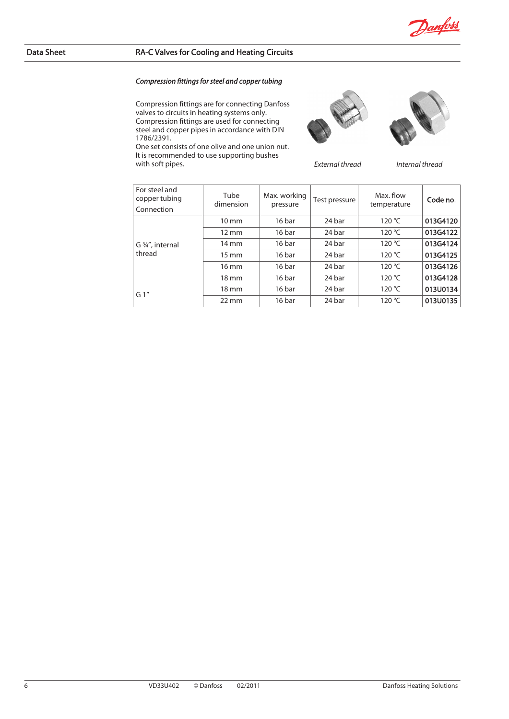Danfoss

# Data Sheet RA-C Valves for Cooling and Heating Circuits

# *Compression fittings for steel and copper tubing*

Compression fittings are for connecting Danfoss valves to circuits in heating systems only. Compression fittings are used for connecting steel and copper pipes in accordance with DIN 1786/2391.

One set consists of one olive and one union nut. It is recommended to use supporting bushes with soft pipes. *External thread Internal thread*





| For steel and<br>copper tubing<br>Connection | Tube<br>dimension | Max. working<br>pressure | Test pressure | Max. flow<br>temperature | Code no. |
|----------------------------------------------|-------------------|--------------------------|---------------|--------------------------|----------|
|                                              | $10 \text{ mm}$   | 16 bar                   | 24 bar        | 120 $\degree$ C          | 013G4120 |
|                                              | $12 \text{ mm}$   | 16 bar                   | 24 bar        | 120 °C                   | 013G4122 |
| $G \frac{3}{4}$ , internal                   | 14 mm             | 16 bar                   | 24 bar        | 120 °C                   | 013G4124 |
| thread                                       | $15 \text{ mm}$   | 16 bar                   | 24 bar        | 120 °C                   | 013G4125 |
|                                              | $16 \text{ mm}$   | 16 bar                   | 24 bar        | 120 $\degree$ C          | 013G4126 |
|                                              | $18 \text{ mm}$   | 16 bar                   | 24 bar        | 120 °C                   | 013G4128 |
| $G1$ "                                       | $18 \text{ mm}$   | 16 bar                   | 24 bar        | 120 °C                   | 013U0134 |
|                                              | $22 \text{ mm}$   | 16 bar                   | 24 bar        | 120 °C                   | 013U0135 |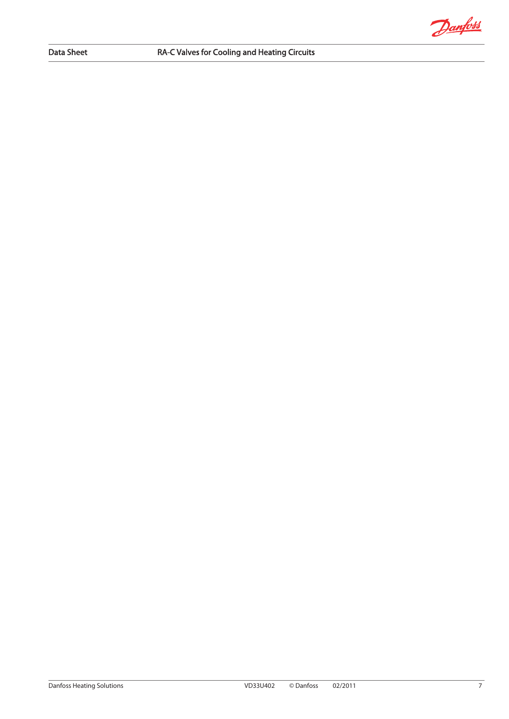

Danfoss